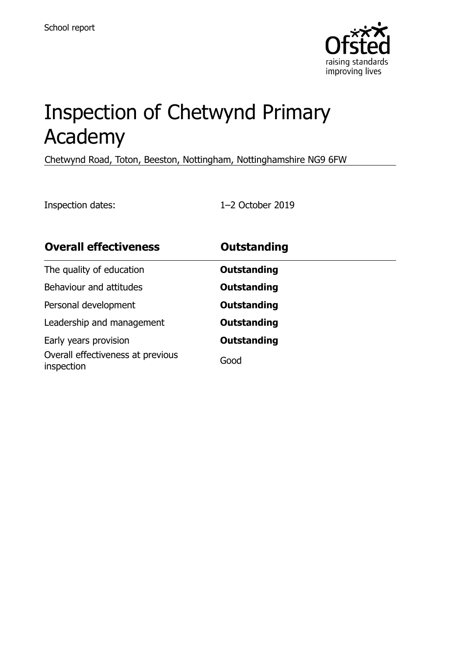

# Inspection of Chetwynd Primary Academy

Chetwynd Road, Toton, Beeston, Nottingham, Nottinghamshire NG9 6FW

Inspection dates: 1–2 October 2019

| <b>Overall effectiveness</b>                    | <b>Outstanding</b> |  |
|-------------------------------------------------|--------------------|--|
| The quality of education                        | Outstanding        |  |
| Behaviour and attitudes                         | <b>Outstanding</b> |  |
| Personal development                            | <b>Outstanding</b> |  |
| Leadership and management                       | <b>Outstanding</b> |  |
| Early years provision                           | <b>Outstanding</b> |  |
| Overall effectiveness at previous<br>inspection | Good               |  |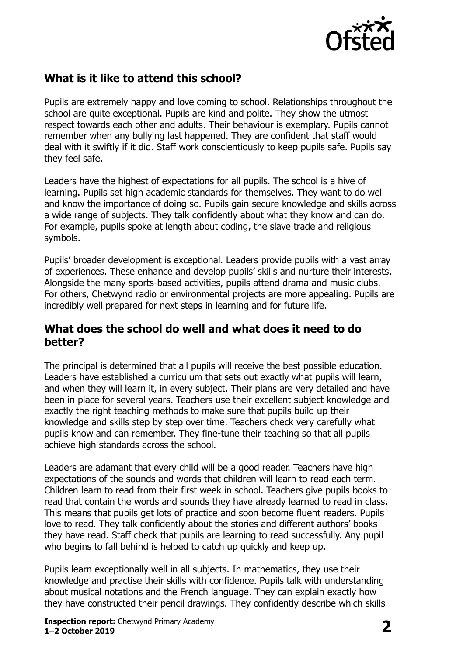

#### **What is it like to attend this school?**

Pupils are extremely happy and love coming to school. Relationships throughout the school are quite exceptional. Pupils are kind and polite. They show the utmost respect towards each other and adults. Their behaviour is exemplary. Pupils cannot remember when any bullying last happened. They are confident that staff would deal with it swiftly if it did. Staff work conscientiously to keep pupils safe. Pupils say they feel safe.

Leaders have the highest of expectations for all pupils. The school is a hive of learning. Pupils set high academic standards for themselves. They want to do well and know the importance of doing so. Pupils gain secure knowledge and skills across a wide range of subjects. They talk confidently about what they know and can do. For example, pupils spoke at length about coding, the slave trade and religious symbols.

Pupils' broader development is exceptional. Leaders provide pupils with a vast array of experiences. These enhance and develop pupils' skills and nurture their interests. Alongside the many sports-based activities, pupils attend drama and music clubs. For others, Chetwynd radio or environmental projects are more appealing. Pupils are incredibly well prepared for next steps in learning and for future life.

#### **What does the school do well and what does it need to do better?**

The principal is determined that all pupils will receive the best possible education. Leaders have established a curriculum that sets out exactly what pupils will learn, and when they will learn it, in every subject. Their plans are very detailed and have been in place for several years. Teachers use their excellent subject knowledge and exactly the right teaching methods to make sure that pupils build up their knowledge and skills step by step over time. Teachers check very carefully what pupils know and can remember. They fine-tune their teaching so that all pupils achieve high standards across the school.

Leaders are adamant that every child will be a good reader. Teachers have high expectations of the sounds and words that children will learn to read each term. Children learn to read from their first week in school. Teachers give pupils books to read that contain the words and sounds they have already learned to read in class. This means that pupils get lots of practice and soon become fluent readers. Pupils love to read. They talk confidently about the stories and different authors' books they have read. Staff check that pupils are learning to read successfully. Any pupil who begins to fall behind is helped to catch up quickly and keep up.

Pupils learn exceptionally well in all subjects. In mathematics, they use their knowledge and practise their skills with confidence. Pupils talk with understanding about musical notations and the French language. They can explain exactly how they have constructed their pencil drawings. They confidently describe which skills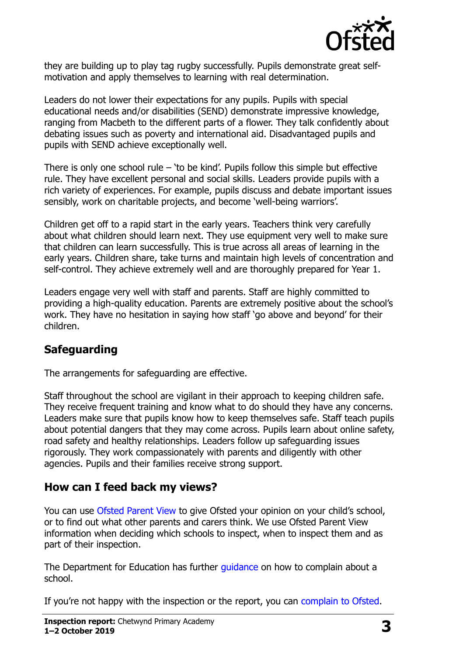

they are building up to play tag rugby successfully. Pupils demonstrate great selfmotivation and apply themselves to learning with real determination.

Leaders do not lower their expectations for any pupils. Pupils with special educational needs and/or disabilities (SEND) demonstrate impressive knowledge, ranging from Macbeth to the different parts of a flower. They talk confidently about debating issues such as poverty and international aid. Disadvantaged pupils and pupils with SEND achieve exceptionally well.

There is only one school rule – 'to be kind'. Pupils follow this simple but effective rule. They have excellent personal and social skills. Leaders provide pupils with a rich variety of experiences. For example, pupils discuss and debate important issues sensibly, work on charitable projects, and become 'well-being warriors'.

Children get off to a rapid start in the early years. Teachers think very carefully about what children should learn next. They use equipment very well to make sure that children can learn successfully. This is true across all areas of learning in the early years. Children share, take turns and maintain high levels of concentration and self-control. They achieve extremely well and are thoroughly prepared for Year 1.

Leaders engage very well with staff and parents. Staff are highly committed to providing a high-quality education. Parents are extremely positive about the school's work. They have no hesitation in saying how staff 'go above and beyond' for their children.

#### **Safeguarding**

The arrangements for safeguarding are effective.

Staff throughout the school are vigilant in their approach to keeping children safe. They receive frequent training and know what to do should they have any concerns. Leaders make sure that pupils know how to keep themselves safe. Staff teach pupils about potential dangers that they may come across. Pupils learn about online safety, road safety and healthy relationships. Leaders follow up safeguarding issues rigorously. They work compassionately with parents and diligently with other agencies. Pupils and their families receive strong support.

## **How can I feed back my views?**

You can use [Ofsted Parent View](http://parentview.ofsted.gov.uk/) to give Ofsted your opinion on your child's school, or to find out what other parents and carers think. We use Ofsted Parent View information when deciding which schools to inspect, when to inspect them and as part of their inspection.

The Department for Education has further quidance on how to complain about a school.

If you're not happy with the inspection or the report, you can [complain to Ofsted.](http://www.gov.uk/complain-ofsted-report)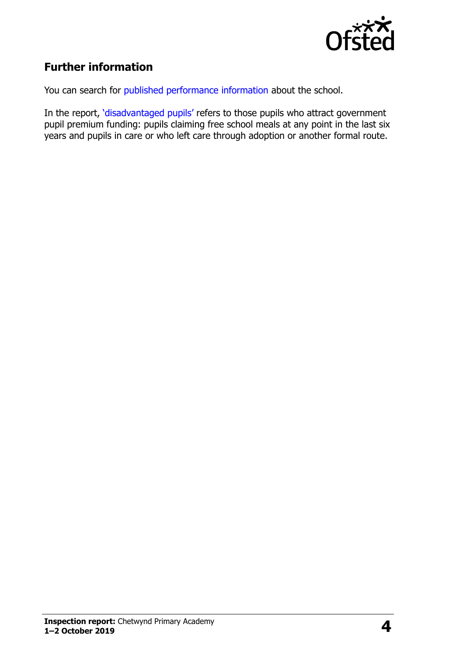

### **Further information**

You can search for [published performance information](http://www.compare-school-performance.service.gov.uk/) about the school.

In the report, '[disadvantaged pupils](http://www.gov.uk/guidance/pupil-premium-information-for-schools-and-alternative-provision-settings)' refers to those pupils who attract government pupil premium funding: pupils claiming free school meals at any point in the last six years and pupils in care or who left care through adoption or another formal route.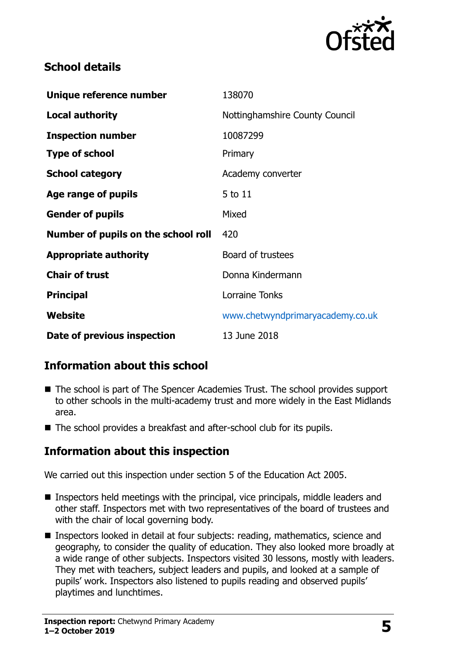

#### **School details**

| Unique reference number             | 138070                           |
|-------------------------------------|----------------------------------|
| <b>Local authority</b>              | Nottinghamshire County Council   |
| <b>Inspection number</b>            | 10087299                         |
| <b>Type of school</b>               | Primary                          |
| <b>School category</b>              | Academy converter                |
| Age range of pupils                 | 5 to 11                          |
| <b>Gender of pupils</b>             | Mixed                            |
| Number of pupils on the school roll | 420                              |
| <b>Appropriate authority</b>        | Board of trustees                |
| <b>Chair of trust</b>               | Donna Kindermann                 |
| <b>Principal</b>                    | Lorraine Tonks                   |
| Website                             | www.chetwyndprimaryacademy.co.uk |
| Date of previous inspection         | 13 June 2018                     |

#### **Information about this school**

- The school is part of The Spencer Academies Trust. The school provides support to other schools in the multi-academy trust and more widely in the East Midlands area.
- The school provides a breakfast and after-school club for its pupils.

#### **Information about this inspection**

We carried out this inspection under section 5 of the Education Act 2005.

- Inspectors held meetings with the principal, vice principals, middle leaders and other staff. Inspectors met with two representatives of the board of trustees and with the chair of local governing body.
- **Inspectors looked in detail at four subjects: reading, mathematics, science and** geography, to consider the quality of education. They also looked more broadly at a wide range of other subjects. Inspectors visited 30 lessons, mostly with leaders. They met with teachers, subject leaders and pupils, and looked at a sample of pupils' work. Inspectors also listened to pupils reading and observed pupils' playtimes and lunchtimes.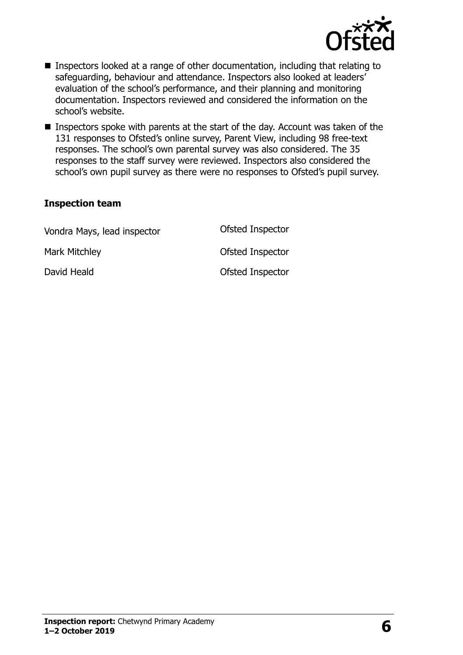

- Inspectors looked at a range of other documentation, including that relating to safeguarding, behaviour and attendance. Inspectors also looked at leaders' evaluation of the school's performance, and their planning and monitoring documentation. Inspectors reviewed and considered the information on the school's website.
- Inspectors spoke with parents at the start of the day. Account was taken of the 131 responses to Ofsted's online survey, Parent View, including 98 free-text responses. The school's own parental survey was also considered. The 35 responses to the staff survey were reviewed. Inspectors also considered the school's own pupil survey as there were no responses to Ofsted's pupil survey.

#### **Inspection team**

| Vondra Mays, lead inspector | Ofsted Inspector |
|-----------------------------|------------------|
| Mark Mitchley               | Ofsted Inspector |
| David Heald                 | Ofsted Inspector |